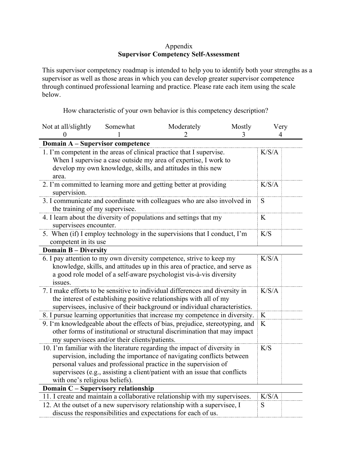## Appendix **Supervisor Competency Self-Assessment**

This supervisor competency roadmap is intended to help you to identify both your strengths as a supervisor as well as those areas in which you can develop greater supervisor competence through continued professional learning and practice. Please rate each item using the scale below.

How characteristic of your own behavior is this competency description?

| Not at all/slightly                                                                          | Somewhat                                      | Moderately                                                                 | Mostly | Very  |
|----------------------------------------------------------------------------------------------|-----------------------------------------------|----------------------------------------------------------------------------|--------|-------|
|                                                                                              |                                               |                                                                            | 3      |       |
| Domain A - Supervisor competence                                                             |                                               |                                                                            |        |       |
| 1. I'm competent in the areas of clinical practice that I supervise.                         |                                               |                                                                            |        | K/S/A |
| When I supervise a case outside my area of expertise, I work to                              |                                               |                                                                            |        |       |
|                                                                                              |                                               | develop my own knowledge, skills, and attitudes in this new                |        |       |
| area.                                                                                        |                                               |                                                                            |        |       |
| 2. I'm committed to learning more and getting better at providing<br>supervision.            |                                               |                                                                            |        | K/S/A |
| 3. I communicate and coordinate with colleagues who are also involved in                     |                                               |                                                                            |        | S     |
| the training of my supervisee.                                                               |                                               |                                                                            |        |       |
| 4. I learn about the diversity of populations and settings that my<br>supervisees encounter. |                                               |                                                                            |        | K     |
| 5. When (if) I employ technology in the supervisions that I conduct, I'm                     |                                               |                                                                            |        | K/S   |
| competent in its use                                                                         |                                               |                                                                            |        |       |
| <b>Domain B - Diversity</b>                                                                  |                                               |                                                                            |        |       |
|                                                                                              |                                               | 6. I pay attention to my own diversity competence, strive to keep my       |        | K/S/A |
|                                                                                              |                                               | knowledge, skills, and attitudes up in this area of practice, and serve as |        |       |
|                                                                                              |                                               | a good role model of a self-aware psychologist vis-à-vis diversity         |        |       |
| issues.                                                                                      |                                               |                                                                            |        |       |
| 7. I make efforts to be sensitive to individual differences and diversity in                 |                                               |                                                                            |        | K/S/A |
|                                                                                              |                                               | the interest of establishing positive relationships with all of my         |        |       |
|                                                                                              |                                               | supervisees, inclusive of their background or individual characteristics.  |        |       |
| 8. I pursue learning opportunities that increase my competence in diversity.                 |                                               |                                                                            |        | K     |
| 9. I'm knowledgeable about the effects of bias, prejudice, stereotyping, and                 |                                               |                                                                            |        |       |
|                                                                                              |                                               | other forms of institutional or structural discrimination that may impact  |        |       |
|                                                                                              | my supervisees and/or their clients/patients. |                                                                            |        |       |
| 10. I'm familiar with the literature regarding the impact of diversity in                    |                                               |                                                                            |        | K/S   |
|                                                                                              |                                               | supervision, including the importance of navigating conflicts between      |        |       |
|                                                                                              |                                               | personal values and professional practice in the supervision of            |        |       |
|                                                                                              |                                               | supervisees (e.g., assisting a client/patient with an issue that conflicts |        |       |
| with one's religious beliefs).                                                               |                                               |                                                                            |        |       |
| Domain C - Supervisory relationship                                                          |                                               |                                                                            |        |       |
| 11. I create and maintain a collaborative relationship with my supervisees.                  |                                               |                                                                            |        | K/S/A |
| 12. At the outset of a new supervisory relationship with a supervisee, I                     |                                               |                                                                            |        | S     |
| discuss the responsibilities and expectations for each of us.                                |                                               |                                                                            |        |       |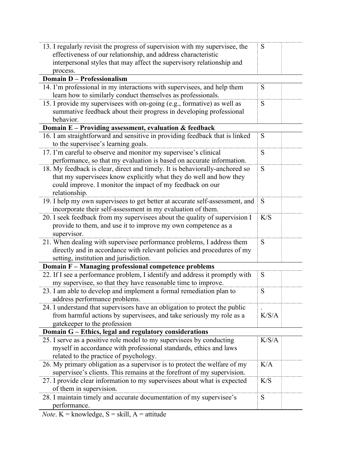| 13. I regularly revisit the progress of supervision with my supervisee, the                                                    | S     |
|--------------------------------------------------------------------------------------------------------------------------------|-------|
| effectiveness of our relationship, and address characteristic                                                                  |       |
| interpersonal styles that may affect the supervisory relationship and                                                          |       |
| process.                                                                                                                       |       |
| <b>Domain D - Professionalism</b>                                                                                              |       |
| 14. I'm professional in my interactions with supervisees, and help them                                                        | S     |
| learn how to similarly conduct themselves as professionals.                                                                    |       |
| 15. I provide my supervisees with on-going (e.g., formative) as well as                                                        | S     |
| summative feedback about their progress in developing professional                                                             |       |
| behavior.                                                                                                                      |       |
| Domain E - Providing assessment, evaluation & feedback                                                                         |       |
| 16. I am straightforward and sensitive in providing feedback that is linked                                                    | S     |
| to the supervisee's learning goals.                                                                                            |       |
| 17. I'm careful to observe and monitor my supervisee's clinical                                                                | S     |
| performance, so that my evaluation is based on accurate information.                                                           |       |
| 18. My feedback is clear, direct and timely. It is behaviorally-anchored so                                                    | S     |
| that my supervisees know explicitly what they do well and how they                                                             |       |
| could improve. I monitor the impact of my feedback on our                                                                      |       |
| relationship.                                                                                                                  |       |
| 19. I help my own supervisees to get better at accurate self-assessment, and                                                   | S     |
| incorporate their self-assessment in my evaluation of them.                                                                    |       |
| 20. I seek feedback from my supervisees about the quality of supervision I                                                     | K/S   |
| provide to them, and use it to improve my own competence as a                                                                  |       |
| supervisor.                                                                                                                    |       |
| 21. When dealing with supervisee performance problems, I address them                                                          | S     |
| directly and in accordance with relevant policies and procedures of my                                                         |       |
| setting, institution and jurisdiction.                                                                                         |       |
| Domain F - Managing professional competence problems                                                                           |       |
| 22. If I see a performance problem, I identify and address it promptly with                                                    | S     |
| my supervisee, so that they have reasonable time to improve.                                                                   |       |
| 23. I am able to develop and implement a formal remediation plan to                                                            | S     |
| address performance problems.                                                                                                  |       |
| 24. I understand that supervisors have an obligation to protect the public                                                     | K/S/A |
| from harmful actions by supervisees, and take seriously my role as a                                                           |       |
| gatekeeper to the profession                                                                                                   |       |
| Domain G - Ethics, legal and regulatory considerations<br>25. I serve as a positive role model to my supervisees by conducting | K/S/A |
| myself in accordance with professional standards, ethics and laws                                                              |       |
| related to the practice of psychology.                                                                                         |       |
| 26. My primary obligation as a supervisor is to protect the welfare of my                                                      | K/A   |
| supervisee's clients. This remains at the forefront of my supervision.                                                         |       |
| 27. I provide clear information to my supervisees about what is expected                                                       | K/S   |
| of them in supervision.                                                                                                        |       |
| 28. I maintain timely and accurate documentation of my supervisee's                                                            | S     |
| performance.                                                                                                                   |       |
|                                                                                                                                |       |

*Note*.  $K =$  knowledge,  $S =$  skill,  $A =$  attitude